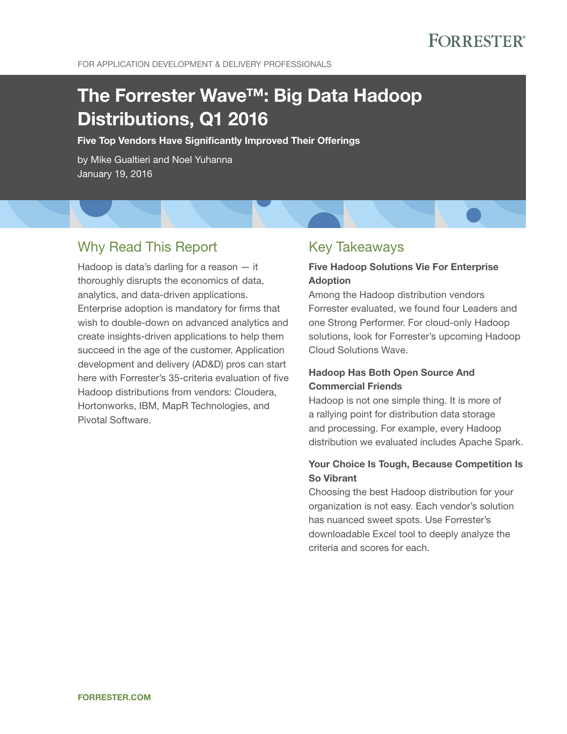For Application Development & Delivery Professionals

# The Forrester Wave™: Big Data Hadoop Distributions, Q1 2016

Five Top Vendors Have Significantly Improved Their Offerings

by Mike Gualtieri and Noel Yuhanna January 19, 2016

## Why Read This Report

Hadoop is data's darling for a reason — it thoroughly disrupts the economics of data, analytics, and data-driven applications. Enterprise adoption is mandatory for firms that wish to double-down on advanced analytics and create insights-driven applications to help them succeed in the age of the customer. Application development and delivery (AD&D) pros can start here with Forrester's 35-criteria evaluation of five Hadoop distributions from vendors: Cloudera, Hortonworks, IBM, MapR Technologies, and Pivotal Software.

## Key Takeaways

### Five Hadoop Solutions Vie For Enterprise Adoption

Among the Hadoop distribution vendors Forrester evaluated, we found four Leaders and one Strong Performer. For cloud-only Hadoop solutions, look for Forrester's upcoming Hadoop Cloud Solutions Wave.

### Hadoop Has Both Open Source And Commercial Friends

Hadoop is not one simple thing. It is more of a rallying point for distribution data storage and processing. For example, every Hadoop distribution we evaluated includes Apache Spark.

### Your Choice Is Tough, Because Competition Is So Vibrant

Choosing the best Hadoop distribution for your organization is not easy. Each vendor's solution has nuanced sweet spots. Use Forrester's downloadable Excel tool to deeply analyze the criteria and scores for each.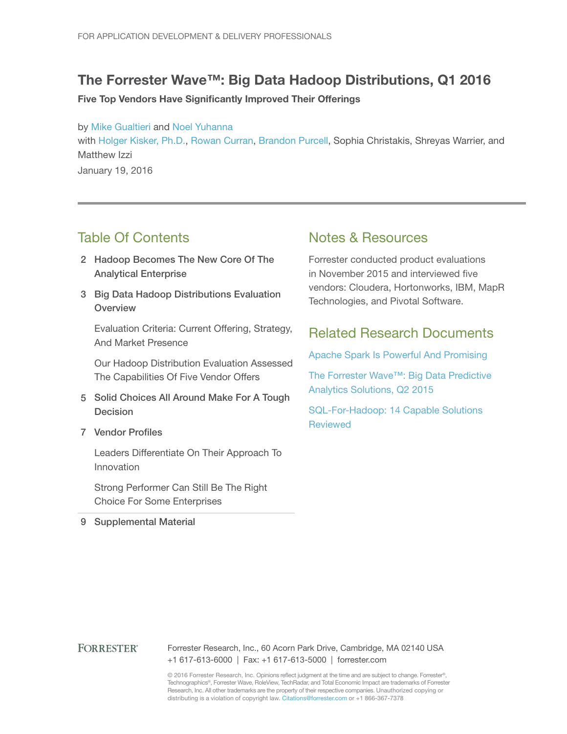## The Forrester Wave™: Big Data Hadoop Distributions, Q1 2016

Five Top Vendors Have Significantly Improved Their Offerings

by [Mike Gualtieri](http://www.forrester.com/go?objectid=BIO1858) and [Noel Yuhanna](http://www.forrester.com/go?objectid=BIO852) with [Holger Kisker, Ph.D.](http://www.forrester.com/go?objectid=BIO2566), [Rowan Curran,](http://www.forrester.com/go?objectid=BIO4966) [Brandon Purcell](http://www.forrester.com/go?objectid=BIO10005), Sophia Christakis, Shreyas Warrier, and Matthew Izzi January 19, 2016

## Table Of Contents

- 2 Hadoop Becomes The New Core Of The Analytical Enterprise
- 3 Big Data Hadoop Distributions Evaluation **Overview**

Evaluation Criteria: Current Offering, Strategy, And Market Presence

Our Hadoop Distribution Evaluation Assessed The Capabilities Of Five Vendor Offers

- 5 Solid Choices All Around Make For A Tough Decision
- 7 Vendor Profiles

Leaders Differentiate On Their Approach To Innovation

Strong Performer Can Still Be The Right Choice For Some Enterprises

9 Supplemental Material

## Notes & Resources

Forrester conducted product evaluations in November 2015 and interviewed five vendors: Cloudera, Hortonworks, IBM, MapR Technologies, and Pivotal Software.

## Related Research Documents

[Apache Spark Is Powerful And Promising](http://www.forrester.com/go?objectid=RES121127)

[The Forrester Wave™: Big Data Predictive](http://www.forrester.com/go?objectid=RES115697)  [Analytics Solutions, Q2 2015](http://www.forrester.com/go?objectid=RES115697)

[SQL-For-Hadoop: 14 Capable Solutions](http://www.forrester.com/go?objectid=RES117713)  **[Reviewed](http://www.forrester.com/go?objectid=RES117713)** 

### **FORRESTER®**

Forrester Research, Inc., 60 Acorn Park Drive, Cambridge, MA 02140 USA +1 617-613-6000 | Fax: +1 617-613-5000 | forrester.com

© 2016 Forrester Research, Inc. Opinions reflect judgment at the time and are subject to change. Forrester®, Technographics®, Forrester Wave, RoleView, TechRadar, and Total Economic Impact are trademarks of Forrester Research, Inc. All other trademarks are the property of their respective companies. Unauthorized copying or distributing is a violation of copyright law. Citations@forrester.com or +1 866-367-7378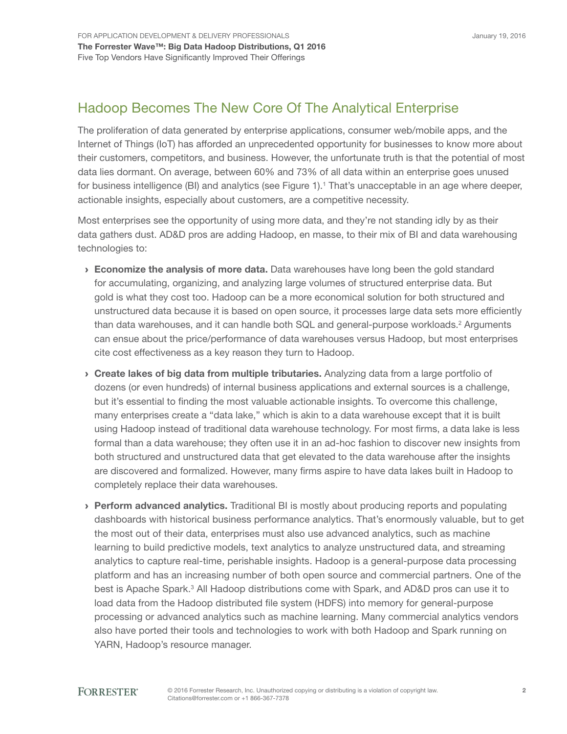## Hadoop Becomes The New Core Of The Analytical Enterprise

The proliferation of data generated by enterprise applications, consumer web/mobile apps, and the Internet of Things (IoT) has afforded an unprecedented opportunity for businesses to know more about their customers, competitors, and business. However, the unfortunate truth is that the potential of most data lies dormant. On average, between 60% and 73% of all data within an enterprise goes unused for business intelligence (BI) and analytics (see Figure 1).<sup>1</sup> That's unacceptable in an age where deeper, actionable insights, especially about customers, are a competitive necessity.

Most enterprises see the opportunity of using more data, and they're not standing idly by as their data gathers dust. AD&D pros are adding Hadoop, en masse, to their mix of BI and data warehousing technologies to:

- **Economize the analysis of more data.** Data warehouses have long been the gold standard for accumulating, organizing, and analyzing large volumes of structured enterprise data. But gold is what they cost too. Hadoop can be a more economical solution for both structured and unstructured data because it is based on open source, it processes large data sets more efficiently than data warehouses, and it can handle both SQL and general-purpose workloads.<sup>2</sup> Arguments can ensue about the price/performance of data warehouses versus Hadoop, but most enterprises cite cost effectiveness as a key reason they turn to Hadoop.
- › Create lakes of big data from multiple tributaries. Analyzing data from a large portfolio of dozens (or even hundreds) of internal business applications and external sources is a challenge, but it's essential to finding the most valuable actionable insights. To overcome this challenge, many enterprises create a "data lake," which is akin to a data warehouse except that it is built using Hadoop instead of traditional data warehouse technology. For most firms, a data lake is less formal than a data warehouse; they often use it in an ad-hoc fashion to discover new insights from both structured and unstructured data that get elevated to the data warehouse after the insights are discovered and formalized. However, many firms aspire to have data lakes built in Hadoop to completely replace their data warehouses.
- **Perform advanced analytics.** Traditional BI is mostly about producing reports and populating dashboards with historical business performance analytics. That's enormously valuable, but to get the most out of their data, enterprises must also use advanced analytics, such as machine learning to build predictive models, text analytics to analyze unstructured data, and streaming analytics to capture real-time, perishable insights. Hadoop is a general-purpose data processing platform and has an increasing number of both open source and commercial partners. One of the best is Apache Spark.<sup>3</sup> All Hadoop distributions come with Spark, and AD&D pros can use it to load data from the Hadoop distributed file system (HDFS) into memory for general-purpose processing or advanced analytics such as machine learning. Many commercial analytics vendors also have ported their tools and technologies to work with both Hadoop and Spark running on YARN, Hadoop's resource manager.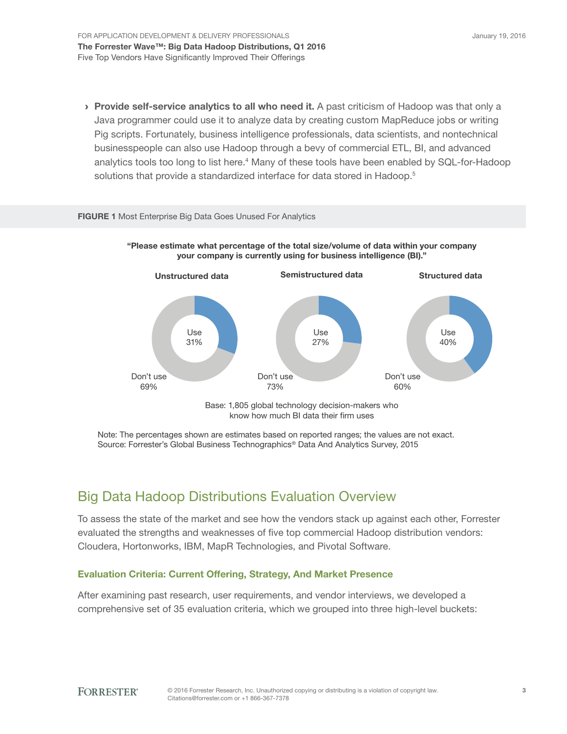> Provide self-service analytics to all who need it. A past criticism of Hadoop was that only a Java programmer could use it to analyze data by creating custom MapReduce jobs or writing Pig scripts. Fortunately, business intelligence professionals, data scientists, and nontechnical businesspeople can also use Hadoop through a bevy of commercial ETL, BI, and advanced analytics tools too long to list here.<sup>4</sup> Many of these tools have been enabled by SQL-for-Hadoop solutions that provide a standardized interface for data stored in Hadoop.<sup>5</sup>

#### FIGURE 1 Most Enterprise Big Data Goes Unused For Analytics





Note: The percentages shown are estimates based on reported ranges; the values are not exact. Source: Forrester's Global Business Technographics® Data And Analytics Survey, 2015

## Big Data Hadoop Distributions Evaluation Overview

To assess the state of the market and see how the vendors stack up against each other, Forrester evaluated the strengths and weaknesses of five top commercial Hadoop distribution vendors: Cloudera, Hortonworks, IBM, MapR Technologies, and Pivotal Software.

### Evaluation Criteria: Current Offering, Strategy, And Market Presence

After examining past research, user requirements, and vendor interviews, we developed a comprehensive set of 35 evaluation criteria, which we grouped into three high-level buckets: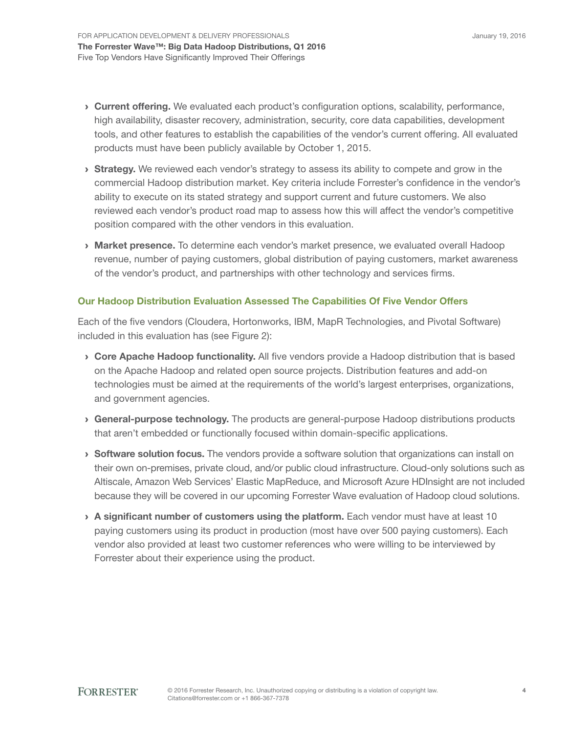- **> Current offering.** We evaluated each product's configuration options, scalability, performance, high availability, disaster recovery, administration, security, core data capabilities, development tools, and other features to establish the capabilities of the vendor's current offering. All evaluated products must have been publicly available by October 1, 2015.
- **Strategy.** We reviewed each vendor's strategy to assess its ability to compete and grow in the commercial Hadoop distribution market. Key criteria include Forrester's confidence in the vendor's ability to execute on its stated strategy and support current and future customers. We also reviewed each vendor's product road map to assess how this will affect the vendor's competitive position compared with the other vendors in this evaluation.
- **Market presence.** To determine each vendor's market presence, we evaluated overall Hadoop revenue, number of paying customers, global distribution of paying customers, market awareness of the vendor's product, and partnerships with other technology and services firms.

### Our Hadoop Distribution Evaluation Assessed The Capabilities Of Five Vendor Offers

Each of the five vendors (Cloudera, Hortonworks, IBM, MapR Technologies, and Pivotal Software) included in this evaluation has (see Figure 2):

- › Core Apache Hadoop functionality. All five vendors provide a Hadoop distribution that is based on the Apache Hadoop and related open source projects. Distribution features and add-on technologies must be aimed at the requirements of the world's largest enterprises, organizations, and government agencies.
- › General-purpose technology. The products are general-purpose Hadoop distributions products that aren't embedded or functionally focused within domain-specific applications.
- **Software solution focus.** The vendors provide a software solution that organizations can install on their own on-premises, private cloud, and/or public cloud infrastructure. Cloud-only solutions such as Altiscale, Amazon Web Services' Elastic MapReduce, and Microsoft Azure HDInsight are not included because they will be covered in our upcoming Forrester Wave evaluation of Hadoop cloud solutions.
- $\rightarrow$  A significant number of customers using the platform. Each vendor must have at least 10 paying customers using its product in production (most have over 500 paying customers). Each vendor also provided at least two customer references who were willing to be interviewed by Forrester about their experience using the product.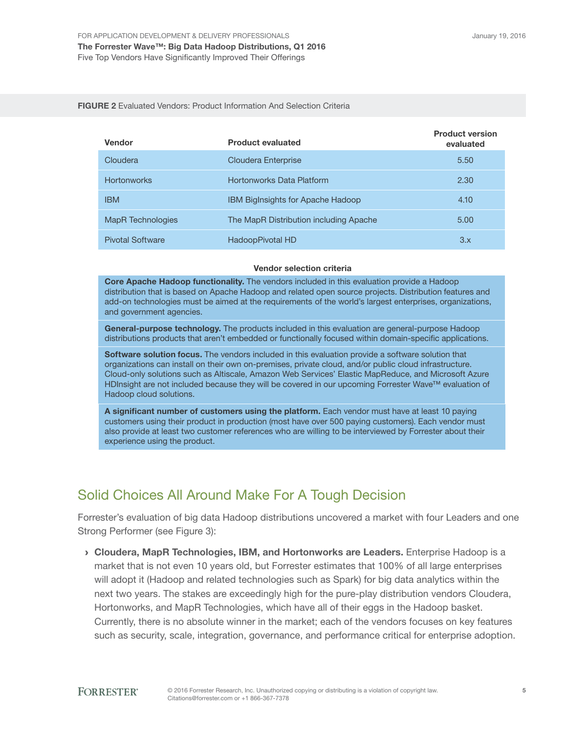#### FIGURE 2 Evaluated Vendors: Product Information And Selection Criteria

| <b>Vendor</b>            | <b>Product evaluated</b>                 | <b>Product version</b><br>evaluated |
|--------------------------|------------------------------------------|-------------------------------------|
| Cloudera                 | Cloudera Enterprise                      | 5.50                                |
| <b>Hortonworks</b>       | Hortonworks Data Platform                | 2.30                                |
| <b>IBM</b>               | <b>IBM BigInsights for Apache Hadoop</b> | 4.10                                |
| <b>MapR</b> Technologies | The MapR Distribution including Apache   | 5.00                                |
| <b>Pivotal Software</b>  | HadoopPivotal HD                         | 3.x                                 |

#### Vendor selection criteria

Core Apache Hadoop functionality. The vendors included in this evaluation provide a Hadoop distribution that is based on Apache Hadoop and related open source projects. Distribution features and add-on technologies must be aimed at the requirements of the world's largest enterprises, organizations, and government agencies.

General-purpose technology. The products included in this evaluation are general-purpose Hadoop distributions products that aren't embedded or functionally focused within domain-specific applications.

Software solution focus. The vendors included in this evaluation provide a software solution that organizations can install on their own on-premises, private cloud, and/or public cloud infrastructure. Cloud-only solutions such as Altiscale, Amazon Web Services' Elastic MapReduce, and Microsoft Azure HDInsight are not included because they will be covered in our upcoming Forrester Wave™ evaluation of Hadoop cloud solutions.

A significant number of customers using the platform. Each vendor must have at least 10 paying customers using their product in production (most have over 500 paying customers). Each vendor must also provide at least two customer references who are willing to be interviewed by Forrester about their experience using the product.

## Solid Choices All Around Make For A Tough Decision

Forrester's evaluation of big data Hadoop distributions uncovered a market with four Leaders and one Strong Performer (see Figure 3):

› Cloudera, MapR Technologies, IBM, and Hortonworks are Leaders. Enterprise Hadoop is a market that is not even 10 years old, but Forrester estimates that 100% of all large enterprises will adopt it (Hadoop and related technologies such as Spark) for big data analytics within the next two years. The stakes are exceedingly high for the pure-play distribution vendors Cloudera, Hortonworks, and MapR Technologies, which have all of their eggs in the Hadoop basket. Currently, there is no absolute winner in the market; each of the vendors focuses on key features such as security, scale, integration, governance, and performance critical for enterprise adoption.

5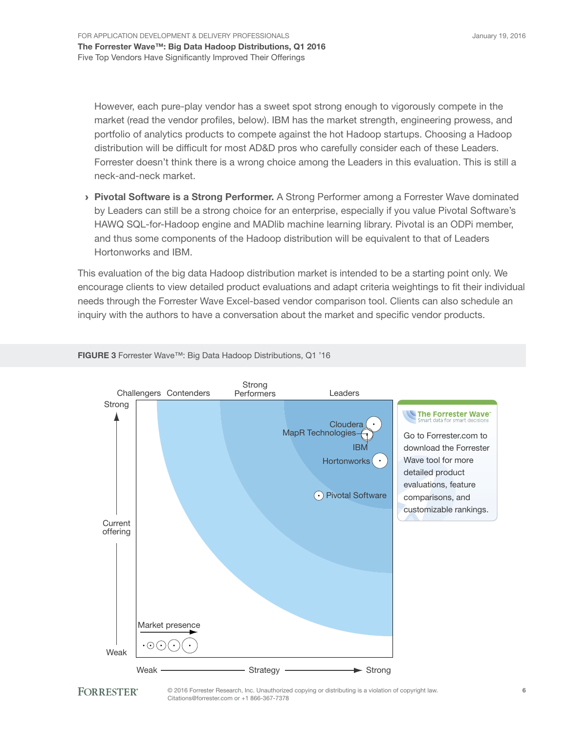January 19, 2016

However, each pure-play vendor has a sweet spot strong enough to vigorously compete in the market (read the vendor profiles, below). IBM has the market strength, engineering prowess, and portfolio of analytics products to compete against the hot Hadoop startups. Choosing a Hadoop distribution will be difficult for most AD&D pros who carefully consider each of these Leaders. Forrester doesn't think there is a wrong choice among the Leaders in this evaluation. This is still a neck-and-neck market.

› Pivotal Software is a Strong Performer. A Strong Performer among a Forrester Wave dominated by Leaders can still be a strong choice for an enterprise, especially if you value Pivotal Software's HAWQ SQL-for-Hadoop engine and MADlib machine learning library. Pivotal is an ODPi member, and thus some components of the Hadoop distribution will be equivalent to that of Leaders Hortonworks and IBM.

This evaluation of the big data Hadoop distribution market is intended to be a starting point only. We encourage clients to view detailed product evaluations and adapt criteria weightings to fit their individual needs through the Forrester Wave Excel-based vendor comparison tool. Clients can also schedule an inquiry with the authors to have a conversation about the market and specific vendor products.



FIGURE 3 Forrester Wave™: Big Data Hadoop Distributions, Q1 '16



© 2016 Forrester Research, Inc. Unauthorized copying or distributing is a violation of copyright law. Citations@forrester.com or +1 866-367-7378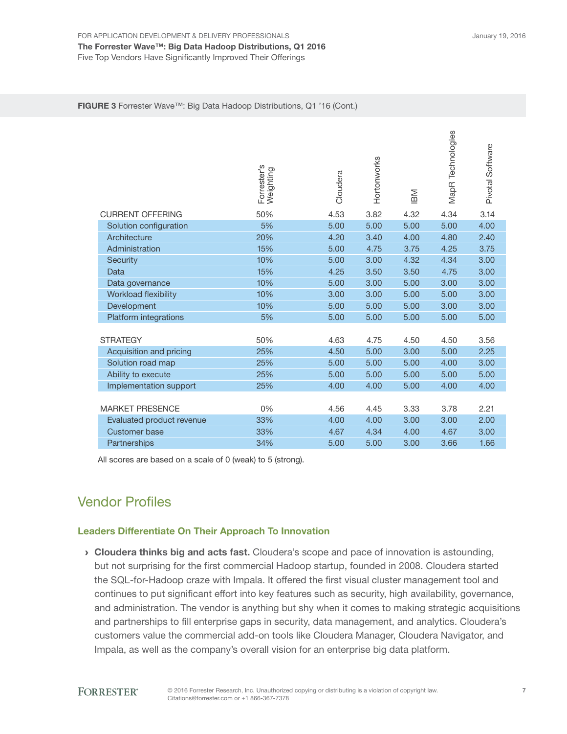#### FIGURE 3 Forrester Wave™: Big Data Hadoop Distributions, Q1 '16 (Cont.)

|                             | Forrester's<br>Weighting | Cloudera | Hortonworks | IBM  | MapR Technologies | Pivotal Software |
|-----------------------------|--------------------------|----------|-------------|------|-------------------|------------------|
| <b>CURRENT OFFERING</b>     | 50%                      | 4.53     | 3.82        | 4.32 | 4.34              | 3.14             |
| Solution configuration      | 5%                       | 5.00     | 5.00        | 5.00 | 5.00              | 4.00             |
| Architecture                | 20%                      | 4.20     | 3.40        | 4.00 | 4.80              | 2.40             |
| Administration              | 15%                      | 5.00     | 4.75        | 3.75 | 4.25              | 3.75             |
| Security                    | 10%                      | 5.00     | 3.00        | 4.32 | 4.34              | 3.00             |
| Data                        | 15%                      | 4.25     | 3.50        | 3.50 | 4.75              | 3.00             |
| Data governance             | 10%                      | 5.00     | 3.00        | 5.00 | 3.00              | 3.00             |
| <b>Workload flexibility</b> | 10%                      | 3.00     | 3.00        | 5.00 | 5.00              | 3.00             |
| Development                 | 10%                      | 5.00     | 5.00        | 5.00 | 3.00              | 3.00             |
| Platform integrations       | 5%                       | 5.00     | 5.00        | 5.00 | 5.00              | 5.00             |
| <b>STRATEGY</b>             | 50%                      | 4.63     | 4.75        | 4.50 | 4.50              | 3.56             |
| Acquisition and pricing     | 25%                      | 4.50     | 5.00        | 3.00 | 5.00              | 2.25             |
| Solution road map           | 25%                      | 5.00     | 5.00        | 5.00 | 4.00              | 3.00             |
| Ability to execute          | 25%                      | 5.00     | 5.00        | 5.00 | 5.00              | 5.00             |
| Implementation support      | 25%                      | 4.00     | 4.00        | 5.00 | 4.00              | 4.00             |
|                             |                          |          |             |      |                   |                  |
| <b>MARKET PRESENCE</b>      | 0%                       | 4.56     | 4.45        | 3.33 | 3.78              | 2.21             |
| Evaluated product revenue   | 33%                      | 4.00     | 4.00        | 3.00 | 3.00              | 2.00             |
| <b>Customer base</b>        | 33%                      | 4.67     | 4.34        | 4.00 | 4.67              | 3.00             |
| Partnerships                | 34%                      | 5.00     | 5.00        | 3.00 | 3.66              | 1.66             |

All scores are based on a scale of 0 (weak) to 5 (strong).

## Vendor Profiles

#### Leaders Differentiate On Their Approach To Innovation

› Cloudera thinks big and acts fast. Cloudera's scope and pace of innovation is astounding, but not surprising for the first commercial Hadoop startup, founded in 2008. Cloudera started the SQL-for-Hadoop craze with Impala. It offered the first visual cluster management tool and continues to put significant effort into key features such as security, high availability, governance, and administration. The vendor is anything but shy when it comes to making strategic acquisitions and partnerships to fill enterprise gaps in security, data management, and analytics. Cloudera's customers value the commercial add-on tools like Cloudera Manager, Cloudera Navigator, and Impala, as well as the company's overall vision for an enterprise big data platform.

**FORRESTER®**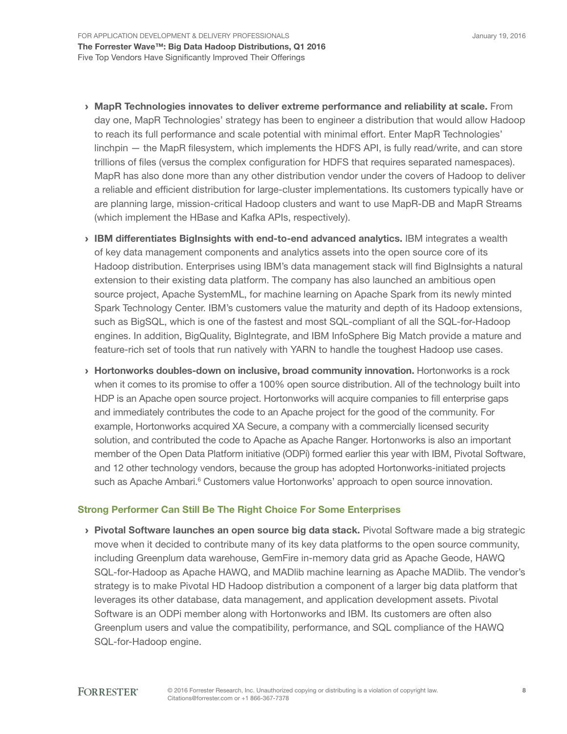- › MapR Technologies innovates to deliver extreme performance and reliability at scale. From day one, MapR Technologies' strategy has been to engineer a distribution that would allow Hadoop to reach its full performance and scale potential with minimal effort. Enter MapR Technologies' linchpin — the MapR filesystem, which implements the HDFS API, is fully read/write, and can store trillions of files (versus the complex configuration for HDFS that requires separated namespaces). MapR has also done more than any other distribution vendor under the covers of Hadoop to deliver a reliable and efficient distribution for large-cluster implementations. Its customers typically have or are planning large, mission-critical Hadoop clusters and want to use MapR-DB and MapR Streams (which implement the HBase and Kafka APIs, respectively).
- › IBM differentiates BigInsights with end-to-end advanced analytics. IBM integrates a wealth of key data management components and analytics assets into the open source core of its Hadoop distribution. Enterprises using IBM's data management stack will find BigInsights a natural extension to their existing data platform. The company has also launched an ambitious open source project, Apache SystemML, for machine learning on Apache Spark from its newly minted Spark Technology Center. IBM's customers value the maturity and depth of its Hadoop extensions, such as BigSQL, which is one of the fastest and most SQL-compliant of all the SQL-for-Hadoop engines. In addition, BigQuality, BigIntegrate, and IBM InfoSphere Big Match provide a mature and feature-rich set of tools that run natively with YARN to handle the toughest Hadoop use cases.
- › Hortonworks doubles-down on inclusive, broad community innovation. Hortonworks is a rock when it comes to its promise to offer a 100% open source distribution. All of the technology built into HDP is an Apache open source project. Hortonworks will acquire companies to fill enterprise gaps and immediately contributes the code to an Apache project for the good of the community. For example, Hortonworks acquired XA Secure, a company with a commercially licensed security solution, and contributed the code to Apache as Apache Ranger. Hortonworks is also an important member of the Open Data Platform initiative (ODPi) formed earlier this year with IBM, Pivotal Software, and 12 other technology vendors, because the group has adopted Hortonworks-initiated projects such as Apache Ambari.<sup>6</sup> Customers value Hortonworks' approach to open source innovation.

### Strong Performer Can Still Be The Right Choice For Some Enterprises

› Pivotal Software launches an open source big data stack. Pivotal Software made a big strategic move when it decided to contribute many of its key data platforms to the open source community, including Greenplum data warehouse, GemFire in-memory data grid as Apache Geode, HAWQ SQL-for-Hadoop as Apache HAWQ, and MADlib machine learning as Apache MADlib. The vendor's strategy is to make Pivotal HD Hadoop distribution a component of a larger big data platform that leverages its other database, data management, and application development assets. Pivotal Software is an ODPi member along with Hortonworks and IBM. Its customers are often also Greenplum users and value the compatibility, performance, and SQL compliance of the HAWQ SQL-for-Hadoop engine.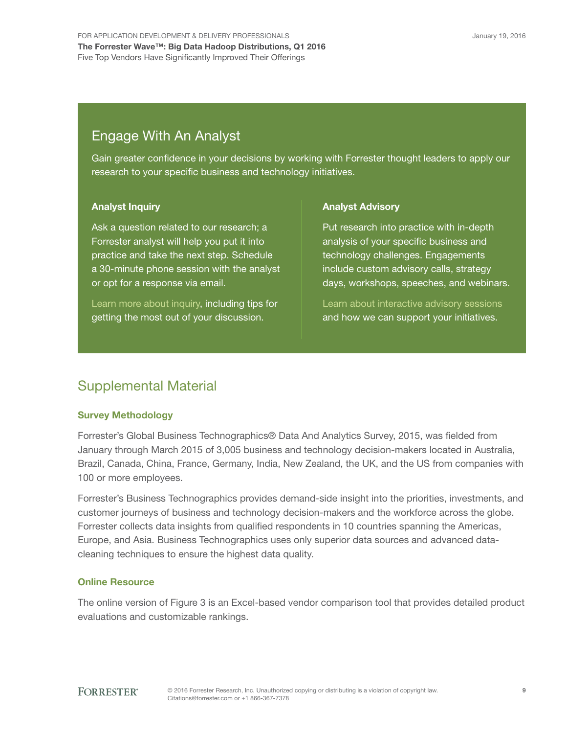## Engage With An Analyst

Gain greater confidence in your decisions by working with Forrester thought leaders to apply our research to your specific business and technology initiatives.

### Analyst Inquiry

Ask a question related to our research; a Forrester analyst will help you put it into practice and take the next step. Schedule a 30-minute phone session with the analyst or opt for a response via email.

[Learn more about inquiry,](http://forr.com/1einFan) including tips for getting the most out of your discussion.

### Analyst Advisory

Put research into practice with in-depth analysis of your specific business and technology challenges. Engagements include custom advisory calls, strategy days, workshops, speeches, and webinars.

[Learn about interactive advisory](http://www.forrester.com/Analyst-Advisory/-/E-MPL172) sessions and how we can support your initiatives.

## Supplemental Material

## Survey Methodology

Forrester's Global Business Technographics® Data And Analytics Survey, 2015, was fielded from January through March 2015 of 3,005 business and technology decision-makers located in Australia, Brazil, Canada, China, France, Germany, India, New Zealand, the UK, and the US from companies with 100 or more employees.

Forrester's Business Technographics provides demand-side insight into the priorities, investments, and customer journeys of business and technology decision-makers and the workforce across the globe. Forrester collects data insights from qualified respondents in 10 countries spanning the Americas, Europe, and Asia. Business Technographics uses only superior data sources and advanced datacleaning techniques to ensure the highest data quality.

## Online Resource

The online version of Figure 3 is an Excel-based vendor comparison tool that provides detailed product evaluations and customizable rankings.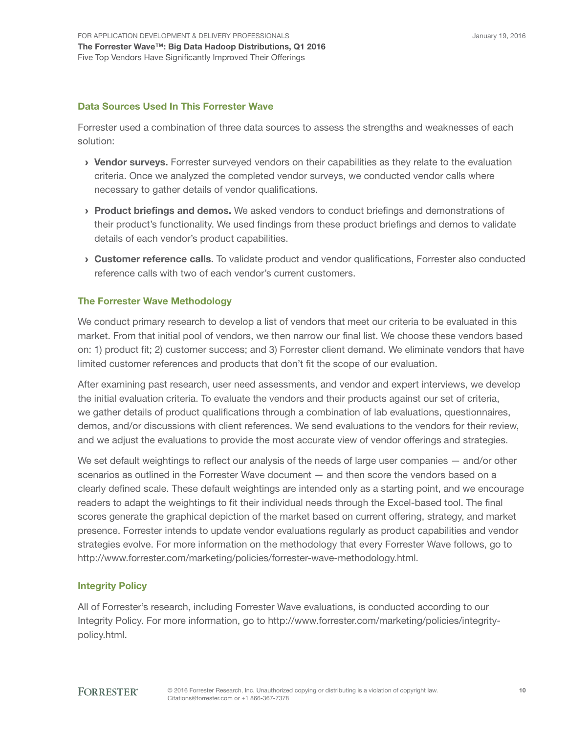### Data Sources Used In This Forrester Wave

Forrester used a combination of three data sources to assess the strengths and weaknesses of each solution:

- › Vendor surveys. Forrester surveyed vendors on their capabilities as they relate to the evaluation criteria. Once we analyzed the completed vendor surveys, we conducted vendor calls where necessary to gather details of vendor qualifications.
- › Product briefings and demos. We asked vendors to conduct briefings and demonstrations of their product's functionality. We used findings from these product briefings and demos to validate details of each vendor's product capabilities.
- › Customer reference calls. To validate product and vendor qualifications, Forrester also conducted reference calls with two of each vendor's current customers.

### The Forrester Wave Methodology

We conduct primary research to develop a list of vendors that meet our criteria to be evaluated in this market. From that initial pool of vendors, we then narrow our final list. We choose these vendors based on: 1) product fit; 2) customer success; and 3) Forrester client demand. We eliminate vendors that have limited customer references and products that don't fit the scope of our evaluation.

After examining past research, user need assessments, and vendor and expert interviews, we develop the initial evaluation criteria. To evaluate the vendors and their products against our set of criteria, we gather details of product qualifications through a combination of lab evaluations, questionnaires, demos, and/or discussions with client references. We send evaluations to the vendors for their review, and we adjust the evaluations to provide the most accurate view of vendor offerings and strategies.

We set default weightings to reflect our analysis of the needs of large user companies — and/or other scenarios as outlined in the Forrester Wave document — and then score the vendors based on a clearly defined scale. These default weightings are intended only as a starting point, and we encourage readers to adapt the weightings to fit their individual needs through the Excel-based tool. The final scores generate the graphical depiction of the market based on current offering, strategy, and market presence. Forrester intends to update vendor evaluations regularly as product capabilities and vendor strategies evolve. For more information on the methodology that every Forrester Wave follows, go to http://www.forrester.com/marketing/policies/forrester-wave-methodology.html.

### Integrity Policy

All of Forrester's research, including Forrester Wave evaluations, is conducted according to our Integrity Policy. For more information, go to http://www.forrester.com/marketing/policies/integritypolicy.html.

#### **FORRESTER®**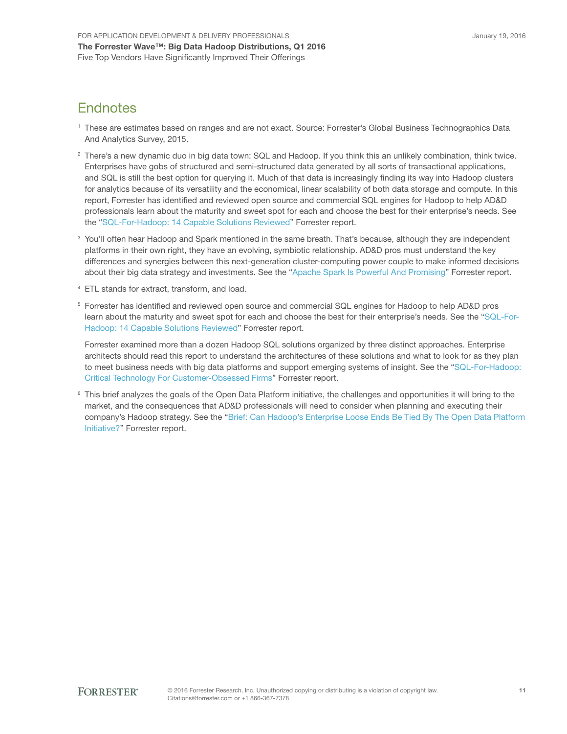## **Endnotes**

- 1 These are estimates based on ranges and are not exact. Source: Forrester's Global Business Technographics Data And Analytics Survey, 2015.
- <sup>2</sup> There's a new dynamic duo in big data town: SQL and Hadoop. If you think this an unlikely combination, think twice. Enterprises have gobs of structured and semi-structured data generated by all sorts of transactional applications, and SQL is still the best option for querying it. Much of that data is increasingly finding its way into Hadoop clusters for analytics because of its versatility and the economical, linear scalability of both data storage and compute. In this report, Forrester has identified and reviewed open source and commercial SQL engines for Hadoop to help AD&D professionals learn about the maturity and sweet spot for each and choose the best for their enterprise's needs. See the "[SQL-For-Hadoop: 14 Capable Solutions Reviewed](http://www.forrester.com/go?objectid=RES117713)" Forrester report.
- <sup>3</sup> You'll often hear Hadoop and Spark mentioned in the same breath. That's because, although they are independent platforms in their own right, they have an evolving, symbiotic relationship. AD&D pros must understand the key differences and synergies between this next-generation cluster-computing power couple to make informed decisions about their big data strategy and investments. See the "[Apache Spark Is Powerful And Promising](http://www.forrester.com/go?objectid=RES121127)" Forrester report.
- 4 ETL stands for extract, transform, and load.
- <sup>5</sup> Forrester has identified and reviewed open source and commercial SQL engines for Hadoop to help AD&D pros learn about the maturity and sweet spot for each and choose the best for their enterprise's needs. See the ["SQL-For-](http://www.forrester.com/go?objectid=RES117713)[Hadoop: 14 Capable Solutions Reviewed"](http://www.forrester.com/go?objectid=RES117713) Forrester report.

Forrester examined more than a dozen Hadoop SQL solutions organized by three distinct approaches. Enterprise architects should read this report to understand the architectures of these solutions and what to look for as they plan to meet business needs with big data platforms and support emerging systems of insight. See the "[SQL-For-Hadoop:](http://www.forrester.com/go?objectid=RES117814)  [Critical Technology For Customer-Obsessed Firms](http://www.forrester.com/go?objectid=RES117814)" Forrester report.

<sup>6</sup> This brief analyzes the goals of the Open Data Platform initiative, the challenges and opportunities it will bring to the market, and the consequences that AD&D professionals will need to consider when planning and executing their company's Hadoop strategy. See the ["Brief: Can Hadoop's Enterprise Loose Ends Be Tied By The Open Data Platform](http://www.forrester.com/go?objectid=RES122362)  [Initiative?"](http://www.forrester.com/go?objectid=RES122362) Forrester report.